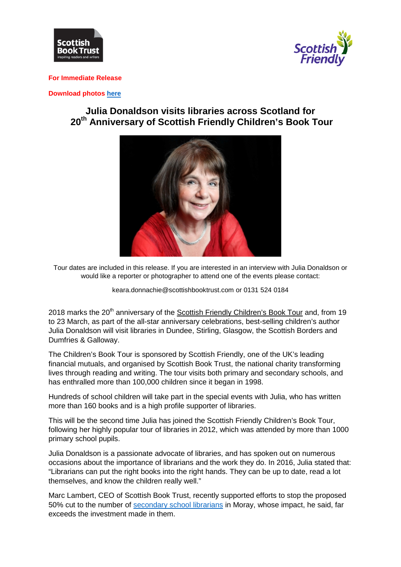



#### **For Immediate Release**

#### **Download photo[s here](https://we.tl/vk0kVnCAZF)**

# **Julia Donaldson visits libraries across Scotland for 20th Anniversary of Scottish Friendly Children's Book Tour**



Tour dates are included in this release. If you are interested in an interview with Julia Donaldson or would like a reporter or photographer to attend one of the events please contact:

keara.donnachie@scottishbooktrust.com or 0131 524 0184

2018 marks the 20<sup>th</sup> anniversary of the [Scottish Friendly Children's Book Tour](http://www.scottishbooktrust.com/learning/teachers-librarians/scottish-friendly-childrens-book-tour/upcoming-tours/julia-donaldson) and, from 19 to 23 March, as part of the all-star anniversary celebrations, best-selling children's author Julia Donaldson will visit libraries in Dundee, Stirling, Glasgow, the Scottish Borders and Dumfries & Galloway.

The Children's Book Tour is sponsored by Scottish Friendly, one of the UK's leading financial mutuals, and organised by Scottish Book Trust, the national charity transforming lives through reading and writing. The tour visits both primary and secondary schools, and has enthralled more than 100,000 children since it began in 1998.

Hundreds of school children will take part in the special events with Julia, who has written more than 160 books and is a high profile supporter of libraries.

This will be the second time Julia has joined the Scottish Friendly Children's Book Tour, following her highly popular tour of libraries in 2012, which was attended by more than 1000 primary school pupils.

Julia Donaldson is a passionate advocate of libraries, and has spoken out on numerous occasions about the importance of librarians and the work they do. In 2016, Julia stated that: "Librarians can put the right books into the right hands. They can be up to date, read a lot themselves, and know the children really well."

Marc Lambert, CEO of Scottish Book Trust, recently supported efforts to stop the proposed 50% cut to the number of [secondary school librarians](http://www.scottishbooktrust.com/blog/press-releases/2018/02/statement-in-support-of-moray-school-librarians) in Moray, whose impact, he said, far exceeds the investment made in them.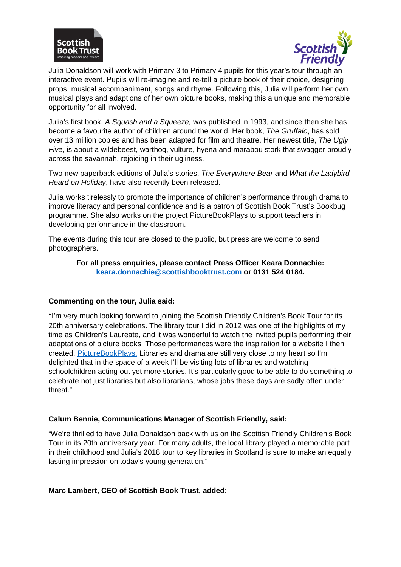



Julia Donaldson will work with Primary 3 to Primary 4 pupils for this year's tour through an interactive event. Pupils will re-imagine and re-tell a picture book of their choice, designing props, musical accompaniment, songs and rhyme. Following this, Julia will perform her own musical plays and adaptions of her own picture books, making this a unique and memorable opportunity for all involved.

Julia's first book, *A Squash and a Squeeze,* was published in 1993, and since then she has become a favourite author of children around the world. Her book, *The Gruffalo*, has sold over 13 million copies and has been adapted for film and theatre. Her newest title, *The Ugly Five*, is about a wildebeest, warthog, vulture, hyena and marabou stork that swagger proudly across the savannah, rejoicing in their ugliness.

Two new paperback editions of Julia's stories, *The Everywhere Bear* and *What the Ladybird Heard on Holiday*, have also recently been released.

Julia works tirelessly to promote the importance of children's performance through drama to improve literacy and personal confidence and is a patron of Scottish Book Trust's Bookbug programme. She also works on the project [PictureBookPlays](http://www.picturebookplays.co.uk/home/) to support teachers in developing performance in the classroom.

The events during this tour are closed to the public, but press are welcome to send photographers.

#### **For all press enquiries, please contact Press Officer Keara Donnachie: [keara.donnachie@scottishbooktrust.com](mailto:keara.donnachie@scottishbooktrust.com) or 0131 524 0184.**

#### **Commenting on the tour, Julia said:**

"I'm very much looking forward to joining the Scottish Friendly Children's Book Tour for its 20th anniversary celebrations. The library tour I did in 2012 was one of the highlights of my time as Children's Laureate, and it was wonderful to watch the invited pupils performing their adaptations of picture books. Those performances were the inspiration for a website I then created, [PictureBookPlays.](http://www.picturebookplays.co.uk./) Libraries and drama are still very close to my heart so I'm delighted that in the space of a week I'll be visiting lots of libraries and watching schoolchildren acting out yet more stories. It's particularly good to be able to do something to celebrate not just libraries but also librarians, whose jobs these days are sadly often under threat."

#### **Calum Bennie, Communications Manager of Scottish Friendly, said:**

"We're thrilled to have Julia Donaldson back with us on the Scottish Friendly Children's Book Tour in its 20th anniversary year. For many adults, the local library played a memorable part in their childhood and Julia's 2018 tour to key libraries in Scotland is sure to make an equally lasting impression on today's young generation."

#### **Marc Lambert, CEO of Scottish Book Trust, added:**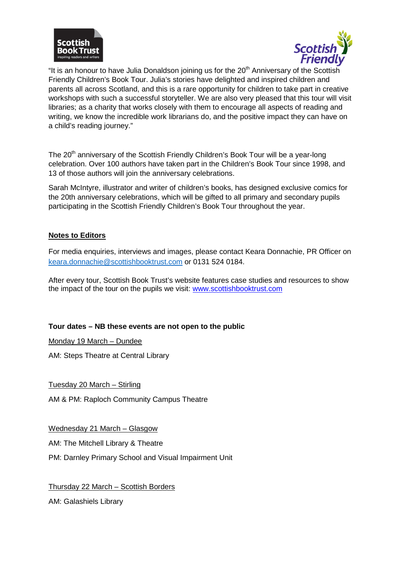



"It is an honour to have Julia Donaldson joining us for the  $20<sup>th</sup>$  Anniversary of the Scottish Friendly Children's Book Tour. Julia's stories have delighted and inspired children and parents all across Scotland, and this is a rare opportunity for children to take part in creative workshops with such a successful storyteller. We are also very pleased that this tour will visit libraries; as a charity that works closely with them to encourage all aspects of reading and writing, we know the incredible work librarians do, and the positive impact they can have on a child's reading journey."

The 20<sup>th</sup> anniversary of the Scottish Friendly Children's Book Tour will be a year-long celebration. Over 100 authors have taken part in the Children's Book Tour since 1998, and 13 of those authors will join the anniversary celebrations.

Sarah McIntyre, illustrator and writer of children's books, has designed exclusive comics for the 20th anniversary celebrations, which will be gifted to all primary and secondary pupils participating in the Scottish Friendly Children's Book Tour throughout the year.

### **Notes to Editors**

For media enquiries, interviews and images, please contact Keara Donnachie, PR Officer on [keara.donnachie@scottishbooktrust.com](mailto:keara.donnachie@scottishbooktrust.com) or 0131 524 0184.

After every tour, Scottish Book Trust's website features case studies and resources to show the impact of the tour on the pupils we visit: [www.scottishbooktrust.com](http://www.scottishbooktrust.com/)

## **Tour dates – NB these events are not open to the public**

Monday 19 March – Dundee

AM: Steps Theatre at Central Library

Tuesday 20 March – Stirling

AM & PM: Raploch Community Campus Theatre

Wednesday 21 March – Glasgow

AM: The Mitchell Library & Theatre

PM: Darnley Primary School and Visual Impairment Unit

Thursday 22 March – Scottish Borders

AM: Galashiels Library